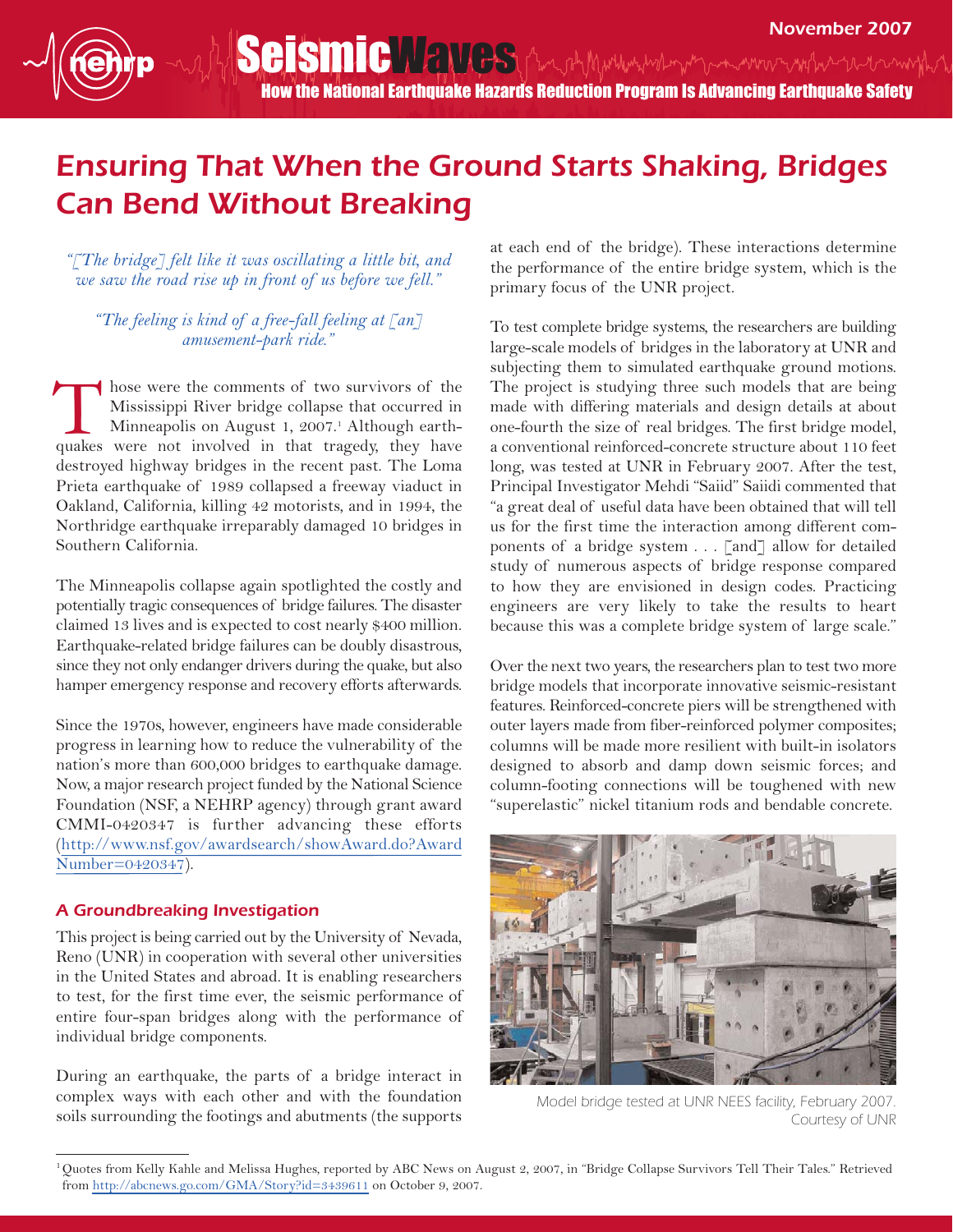## Ensuring That When the Ground Starts Shaking, Bridges Can Bend Without Breaking

*"[The bridge] felt like it was oscillating a little bit, and we saw the road rise up in front of us before we fell."*

*"The feeling is kind of a free-fall feeling at [an] amusement-park ride."*

hose were the comments of two survivors of the Mississippi River bridge collapse that occurred in Minneapolis on August 1, 2007.<sup>1</sup> Although earthhose were the comments of two survivors of the Mississippi River bridge collapse that occurred in Minneapolis on August 1, 2007.<sup>1</sup> Although earth-quakes were not involved in that tragedy, they have destroyed highway bridges in the recent past. The Loma Prieta earthquake of 1989 collapsed a freeway viaduct in Oakland, California, killing 42 motorists, and in 1994, the Northridge earthquake irreparably damaged 10 bridges in Southern California.

The Minneapolis collapse again spotlighted the costly and potentially tragic consequences of bridge failures. The disaster claimed 13 lives and is expected to cost nearly \$400 million. Earthquake-related bridge failures can be doubly disastrous, since they not only endanger drivers during the quake, but also hamper emergency response and recovery efforts afterwards.

Since the 1970s, however, engineers have made considerable progress in learning how to reduce the vulnerability of the nation's more than 600,000 bridges to earthquake damage. Now, a major research project funded by the National Science Foundation (NSF, a NEHRP agency) through grant award CMMI-0420347 is further advancing these efforts [\(http://www.nsf.gov/awardsearch/showAward.do?Awa](http://www.nsf.gov/awardsearch/showAward.do?AwardNumber=0420347)rd [Number=0420347](http://www.nsf.gov/awardsearch/showAward.do?AwardNumber=0420347)).

## A Groundbreaking Investigation

This project is being carried out by the University of Nevada, Reno (UNR) in cooperation with several other universities in the United States and abroad. It is enabling researchers to test, for the first time ever, the seismic performance of entire four-span bridges along with the performance of individual bridge components.

During an earthquake, the parts of a bridge interact in complex ways with each other and with the foundation soils surrounding the footings and abutments (the supports

at each end of the bridge). These interactions determine the performance of the entire bridge system, which is the primary focus of the UNR project.

To test complete bridge systems, the researchers are building large-scale models of bridges in the laboratory at UNR and subjecting them to simulated earthquake ground motions. The project is studying three such models that are being made with differing materials and design details at about one-fourth the size of real bridges. The first bridge model, a conventional reinforced-concrete structure about 110 feet long, was tested at UNR in February 2007. After the test, Principal Investigator Mehdi "Saiid" Saiidi commented that "a great deal of useful data have been obtained that will tell us for the first time the interaction among different components of a bridge system . . . [and] allow for detailed study of numerous aspects of bridge response compared to how they are envisioned in design codes. Practicing engineers are very likely to take the results to heart because this was a complete bridge system of large scale."

Over the next two years, the researchers plan to test two more bridge models that incorporate innovative seismic-resistant features. Reinforced-concrete piers will be strengthened with outer layers made from fiber-reinforced polymer composites; columns will be made more resilient with built-in isolators designed to absorb and damp down seismic forces; and column-footing connections will be toughened with new "superelastic" nickel titanium rods and bendable concrete.



Model bridge tested at UNR NEES facility, February 2007. Courtesy of UNR

<sup>&</sup>lt;sup>1</sup>Quotes from Kelly Kahle and Melissa Hughes, reported by ABC News on August 2, 2007, in "Bridge Collapse Survivors Tell Their Tales." Retrieved from <http://abcnews.go.com/GMA/Story?id=3439611> on October 9, 2007.